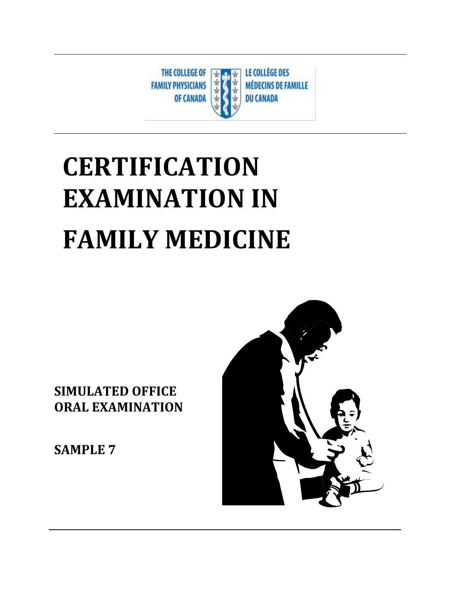

# **CERTIFICATION EXAMINATION IN FAMILY MEDICINE**

**SIMULATED OFFICE ORAL EXAMINATION** 

**SAMPLE 7**

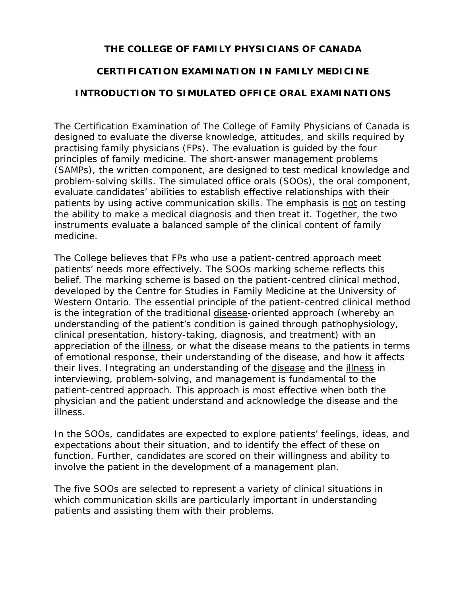## **THE COLLEGE OF FAMILY PHYSICIANS OF CANADA**

## **CERTIFICATION EXAMINATION IN FAMILY MEDICINE**

## **INTRODUCTION TO SIMULATED OFFICE ORAL EXAMINATIONS**

The Certification Examination of The College of Family Physicians of Canada is designed to evaluate the diverse knowledge, attitudes, and skills required by practising family physicians (FPs). The evaluation is guided by the four principles of family medicine. The short-answer management problems (SAMPs), the written component, are designed to test medical knowledge and problem-solving skills. The simulated office orals (SOOs), the oral component, evaluate candidates' abilities to establish effective relationships with their patients by using active communication skills. The emphasis is not on testing the ability to make a medical diagnosis and then treat it. Together, the two instruments evaluate a balanced sample of the clinical content of family medicine.

The College believes that FPs who use a patient-centred approach meet patients' needs more effectively. The SOOs marking scheme reflects this belief. The marking scheme is based on the patient-centred clinical method, developed by the Centre for Studies in Family Medicine at the University of Western Ontario. The essential principle of the patient-centred clinical method is the integration of the traditional disease-oriented approach (whereby an understanding of the patient's condition is gained through pathophysiology, clinical presentation, history-taking, diagnosis, and treatment) with an appreciation of the illness, or what the disease means to the patients in terms of emotional response, their understanding of the disease, and how it affects their lives. Integrating an understanding of the disease and the illness in interviewing, problem-solving, and management is fundamental to the patient-centred approach. This approach is most effective when both the physician and the patient understand and acknowledge the disease and the illness.

In the SOOs, candidates are expected to explore patients' feelings, ideas, and expectations about their situation, and to identify the effect of these on function. Further, candidates are scored on their willingness and ability to involve the patient in the development of a management plan.

The five SOOs are selected to represent a variety of clinical situations in which communication skills are particularly important in understanding patients and assisting them with their problems.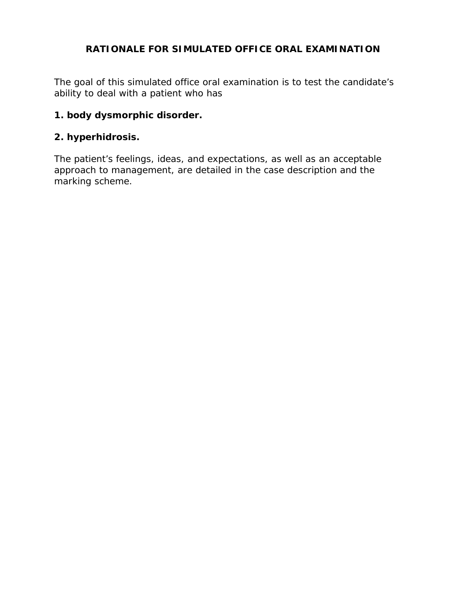## **RATIONALE FOR SIMULATED OFFICE ORAL EXAMINATION**

The goal of this simulated office oral examination is to test the candidate's ability to deal with a patient who has

## **1. body dysmorphic disorder.**

## **2. hyperhidrosis.**

The patient's feelings, ideas, and expectations, as well as an acceptable approach to management, are detailed in the case description and the marking scheme.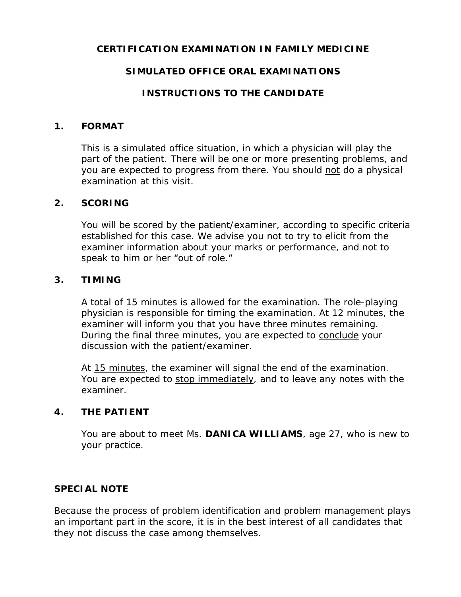## **CERTIFICATION EXAMINATION IN FAMILY MEDICINE**

## **SIMULATED OFFICE ORAL EXAMINATIONS**

## **INSTRUCTIONS TO THE CANDIDATE**

#### **1. FORMAT**

This is a simulated office situation, in which a physician will play the part of the patient. There will be one or more presenting problems, and you are expected to progress from there. You should not do a physical examination at this visit.

## **2. SCORING**

You will be scored by the patient/examiner, according to specific criteria established for this case. We advise you not to try to elicit from the examiner information about your marks or performance, and not to speak to him or her "out of role."

## **3. TIMING**

A total of 15 minutes is allowed for the examination. The role-playing physician is responsible for timing the examination. At 12 minutes, the examiner will inform you that you have three minutes remaining. During the final three minutes, you are expected to conclude your discussion with the patient/examiner.

At 15 minutes, the examiner will signal the end of the examination. You are expected to stop immediately, and to leave any notes with the examiner.

## **4. THE PATIENT**

You are about to meet Ms. **DANICA WILLIAMS**, age 27, who is new to your practice.

## **SPECIAL NOTE**

Because the process of problem identification and problem management plays an important part in the score, it is in the best interest of all candidates that they not discuss the case among themselves.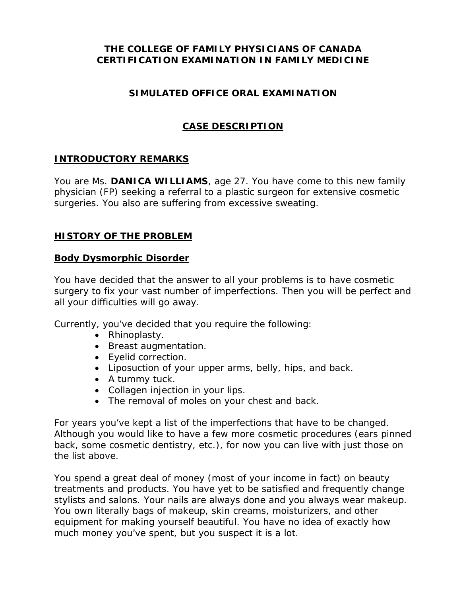## **THE COLLEGE OF FAMILY PHYSICIANS OF CANADA CERTIFICATION EXAMINATION IN FAMILY MEDICINE**

## **SIMULATED OFFICE ORAL EXAMINATION**

## **CASE DESCRIPTION**

## **INTRODUCTORY REMARKS**

You are Ms. **DANICA WILLIAMS**, age 27. You have come to this new family physician (FP) seeking a referral to a plastic surgeon for extensive cosmetic surgeries. You also are suffering from excessive sweating.

## **HISTORY OF THE PROBLEM**

## **Body Dysmorphic Disorder**

You have decided that the answer to all your problems is to have cosmetic surgery to fix your vast number of imperfections. Then you will be perfect and all your difficulties will go away.

Currently, you've decided that you require the following:

- Rhinoplasty.
- Breast augmentation.
- Eyelid correction.
- Liposuction of your upper arms, belly, hips, and back.
- A tummy tuck.
- Collagen injection in your lips.
- The removal of moles on your chest and back.

For years you've kept a list of the imperfections that have to be changed. Although you would like to have a few more cosmetic procedures (ears pinned back, some cosmetic dentistry, etc.), for now you can live with just those on the list above.

You spend a great deal of money (most of your income in fact) on beauty treatments and products. You have yet to be satisfied and frequently change stylists and salons. Your nails are always done and you always wear makeup. You own literally bags of makeup, skin creams, moisturizers, and other equipment for making yourself beautiful. You have no idea of exactly how much money you've spent, but you suspect it is a lot.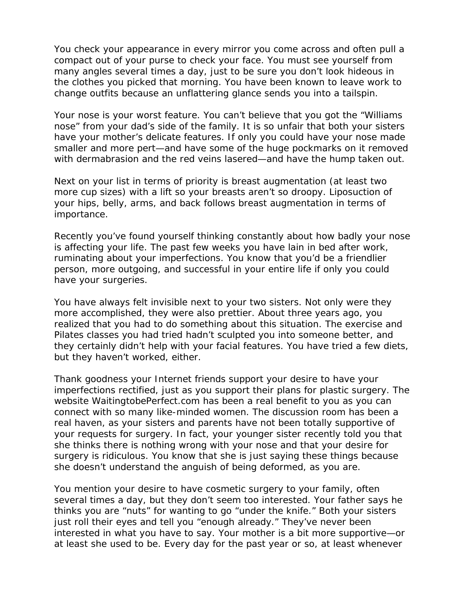You check your appearance in every mirror you come across and often pull a compact out of your purse to check your face. You must see yourself from many angles several times a day, just to be sure you don't look hideous in the clothes you picked that morning. You have been known to leave work to change outfits because an unflattering glance sends you into a tailspin.

Your nose is your worst feature. You can't believe that you got the "Williams nose" from your dad's side of the family. It is so unfair that both your sisters have your mother's delicate features. If only you could have your nose made smaller and more pert—*and* have some of the huge pockmarks on it removed with dermabrasion and the red veins lasered—*and* have the hump taken out.

Next on your list in terms of priority is breast augmentation (at least two more cup sizes) with a lift so your breasts aren't so droopy. Liposuction of your hips, belly, arms, and back follows breast augmentation in terms of importance.

Recently you've found yourself thinking constantly about how badly your nose is affecting your life. The past few weeks you have lain in bed after work, ruminating about your imperfections. You know that you'd be a friendlier person, more outgoing, and successful in your entire life if only you could have your surgeries.

You have always felt invisible next to your two sisters. Not only were they more accomplished, they were also prettier. About three years ago, you realized that you had to do something about this situation. The exercise and Pilates classes you had tried hadn't sculpted you into someone better, and they certainly didn't help with your facial features. You have tried a few diets, but they haven't worked, either.

Thank goodness your Internet friends support your desire to have your imperfections rectified, just as you support their plans for plastic surgery. The website WaitingtobePerfect.com has been a real benefit to you as you can connect with so many like-minded women. The discussion room has been a real haven, as your sisters and parents have not been totally supportive of your requests for surgery. In fact, your younger sister recently told you that she thinks there is nothing wrong with your nose and that your desire for surgery is ridiculous. You know that she is just saying these things because she doesn't understand the anguish of being deformed, as you are.

You mention your desire to have cosmetic surgery to your family, often several times a day, but they don't seem too interested. Your father says he thinks you are "nuts" for wanting to go "under the knife." Both your sisters just roll their eyes and tell you "enough already." They've never been interested in what you have to say. Your mother is a bit more supportive—or at least she used to be. Every day for the past year or so, at least whenever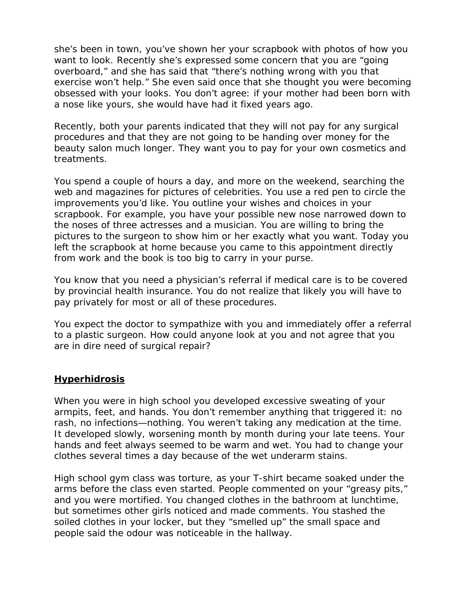she's been in town, you've shown her your scrapbook with photos of how you want to look. Recently she's expressed some concern that you are "going overboard," and she has said that "there's nothing wrong with you that exercise won't help." She even said once that she thought you were becoming obsessed with your looks. You don't agree: if your mother had been born with a nose like yours, she would have had it fixed years ago.

Recently, both your parents indicated that they will not pay for any surgical procedures and that they are not going to be handing over money for the beauty salon much longer. They want you to pay for your own cosmetics and treatments.

You spend a couple of hours a day, and more on the weekend, searching the web and magazines for pictures of celebrities. You use a red pen to circle the improvements you'd like. You outline your wishes and choices in your scrapbook. For example, you have your possible new nose narrowed down to the noses of three actresses and a musician. You are willing to bring the pictures to the surgeon to show him or her exactly what you want. Today you left the scrapbook at home because you came to this appointment directly from work and the book is too big to carry in your purse.

You know that you need a physician's referral if medical care is to be covered by provincial health insurance. You do not realize that likely you will have to pay privately for most or all of these procedures.

You expect the doctor to sympathize with you and immediately offer a referral to a plastic surgeon. How could anyone look at you and not agree that you are in dire need of surgical repair?

## **Hyperhidrosis**

When you were in high school you developed excessive sweating of your armpits, feet, and hands. You don't remember anything that triggered it: no rash, no infections—nothing. You weren't taking any medication at the time. It developed slowly, worsening month by month during your late teens. Your hands and feet always seemed to be warm and wet. You had to change your clothes several times a day because of the wet underarm stains.

High school gym class was torture, as your T-shirt became soaked under the arms before the class even started. People commented on your "greasy pits," and you were mortified. You changed clothes in the bathroom at lunchtime, but sometimes other girls noticed and made comments. You stashed the soiled clothes in your locker, but they "smelled up" the small space and people said the odour was noticeable in the hallway.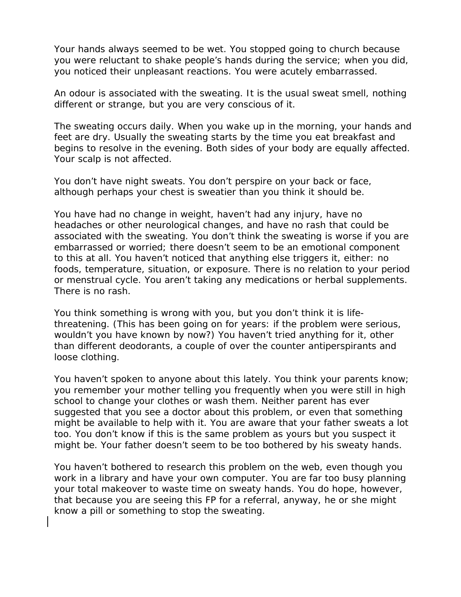Your hands always seemed to be wet. You stopped going to church because you were reluctant to shake people's hands during the service; when you did, you noticed their unpleasant reactions. You were acutely embarrassed.

An odour is associated with the sweating. It is the usual sweat smell, nothing different or strange, but you are very conscious of it.

The sweating occurs daily. When you wake up in the morning, your hands and feet are dry. Usually the sweating starts by the time you eat breakfast and begins to resolve in the evening. Both sides of your body are equally affected. Your scalp is not affected.

You don't have night sweats. You don't perspire on your back or face, although perhaps your chest is sweatier than you think it should be.

You have had no change in weight, haven't had any injury, have no headaches or other neurological changes, and have no rash that could be associated with the sweating. You don't think the sweating is worse if you are embarrassed or worried; there doesn't seem to be an emotional component to this at all. You haven't noticed that anything else triggers it, either: no foods, temperature, situation, or exposure. There is no relation to your period or menstrual cycle. You aren't taking any medications or herbal supplements. There is no rash.

You think something is wrong with you, but you don't think it is lifethreatening. (This has been going on for years: if the problem were serious, wouldn't you have known by now?) You haven't tried anything for it, other than different deodorants, a couple of over the counter antiperspirants and loose clothing.

You haven't spoken to anyone about this lately. You think your parents know; you remember your mother telling you frequently when you were still in high school to change your clothes or wash them. Neither parent has ever suggested that you see a doctor about this problem, or even that something might be available to help with it. You are aware that your father sweats a lot too. You don't know if this is the same problem as yours but you suspect it might be. Your father doesn't seem to be too bothered by his sweaty hands.

You haven't bothered to research this problem on the web, even though you work in a library and have your own computer. You are far too busy planning your total makeover to waste time on sweaty hands. You do hope, however, that because you are seeing this FP for a referral, anyway, he or she might know a pill or something to stop the sweating.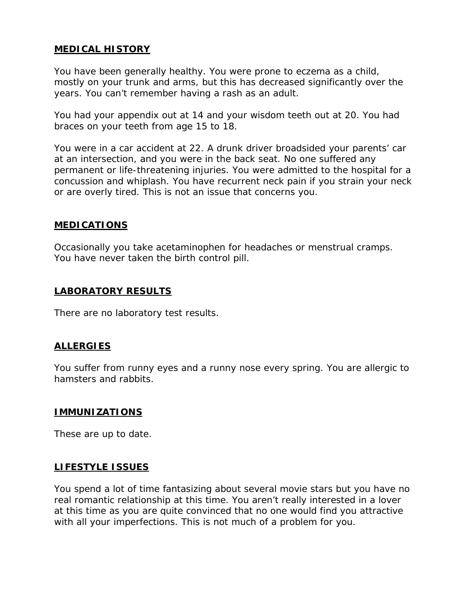## **MEDICAL HISTORY**

You have been generally healthy. You were prone to eczema as a child, mostly on your trunk and arms, but this has decreased significantly over the years. You can't remember having a rash as an adult.

You had your appendix out at 14 and your wisdom teeth out at 20. You had braces on your teeth from age 15 to 18.

You were in a car accident at 22. A drunk driver broadsided your parents' car at an intersection, and you were in the back seat. No one suffered any permanent or life-threatening injuries. You were admitted to the hospital for a concussion and whiplash. You have recurrent neck pain if you strain your neck or are overly tired. This is not an issue that concerns you.

## **MEDICATIONS**

Occasionally you take acetaminophen for headaches or menstrual cramps. You have never taken the birth control pill.

## **LABORATORY RESULTS**

There are no laboratory test results.

#### **ALLERGIES**

You suffer from runny eyes and a runny nose every spring. You are allergic to hamsters and rabbits.

#### **IMMUNIZATIONS**

These are up to date.

#### **LIFESTYLE ISSUES**

You spend a lot of time fantasizing about several movie stars but you have no real romantic relationship at this time. You aren't really interested in a lover at this time as you are quite convinced that no one would find you attractive with all your imperfections. This is not much of a problem for you.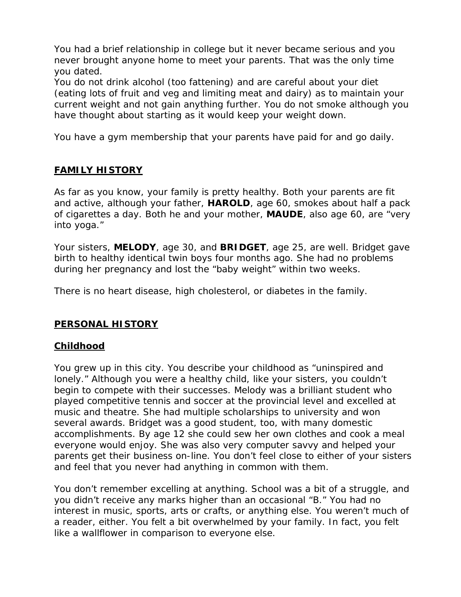You had a brief relationship in college but it never became serious and you never brought anyone home to meet your parents. That was the only time you dated.

You do not drink alcohol (too fattening) and are careful about your diet (eating lots of fruit and veg and limiting meat and dairy) as to maintain your current weight and not gain anything further. You do not smoke although you have thought about starting as it would keep your weight down.

You have a gym membership that your parents have paid for and go daily.

## **FAMILY HISTORY**

As far as you know, your family is pretty healthy. Both your parents are fit and active, although your father, **HAROLD**, age 60, smokes about half a pack of cigarettes a day. Both he and your mother, **MAUDE**, also age 60, are "very into yoga."

Your sisters, **MELODY**, age 30, and **BRIDGET**, age 25, are well. Bridget gave birth to healthy identical twin boys four months ago. She had no problems during her pregnancy and lost the "baby weight" within two weeks.

There is no heart disease, high cholesterol, or diabetes in the family.

## **PERSONAL HISTORY**

## **Childhood**

You grew up in this city. You describe your childhood as "uninspired and lonely." Although you were a healthy child, like your sisters, you couldn't begin to compete with their successes. Melody was a brilliant student who played competitive tennis and soccer at the provincial level and excelled at music and theatre. She had multiple scholarships to university and won several awards. Bridget was a good student, too, with many domestic accomplishments. By age 12 she could sew her own clothes and cook a meal everyone would enjoy. She was also very computer savvy and helped your parents get their business on-line. You don't feel close to either of your sisters and feel that you never had anything in common with them.

You don't remember excelling at anything. School was a bit of a struggle, and you didn't receive any marks higher than an occasional "B." You had no interest in music, sports, arts or crafts, or anything else. You weren't much of a reader, either. You felt a bit overwhelmed by your family. In fact, you felt like a wallflower in comparison to everyone else.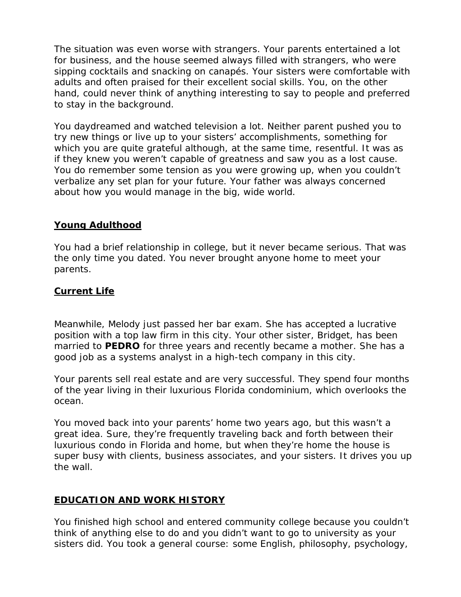The situation was even worse with strangers. Your parents entertained a lot for business, and the house seemed always filled with strangers, who were sipping cocktails and snacking on canapés. Your sisters were comfortable with adults and often praised for their excellent social skills. You, on the other hand, could never think of anything interesting to say to people and preferred to stay in the background.

You daydreamed and watched television a lot. Neither parent pushed you to try new things or live up to your sisters' accomplishments, something for which you are quite grateful although, at the same time, resentful. It was as if they knew you weren't capable of greatness and saw you as a lost cause. You do remember some tension as you were growing up, when you couldn't verbalize any set plan for your future. Your father was always concerned about how you would manage in the big, wide world.

## **Young Adulthood**

You had a brief relationship in college, but it never became serious. That was the only time you dated. You never brought anyone home to meet your parents.

## **Current Life**

Meanwhile, Melody just passed her bar exam. She has accepted a lucrative position with a top law firm in this city. Your other sister, Bridget, has been married to **PEDRO** for three years and recently became a mother. She has a good job as a systems analyst in a high-tech company in this city.

Your parents sell real estate and are very successful. They spend four months of the year living in their luxurious Florida condominium, which overlooks the ocean.

You moved back into your parents' home two years ago, but this wasn't a great idea. Sure, they're frequently traveling back and forth between their luxurious condo in Florida and home, but when they're home the house is super busy with clients, business associates, and your sisters. It drives you up the wall.

## **EDUCATION AND WORK HISTORY**

You finished high school and entered community college because you couldn't think of anything else to do and you didn't want to go to university as your sisters did. You took a general course: some English, philosophy, psychology,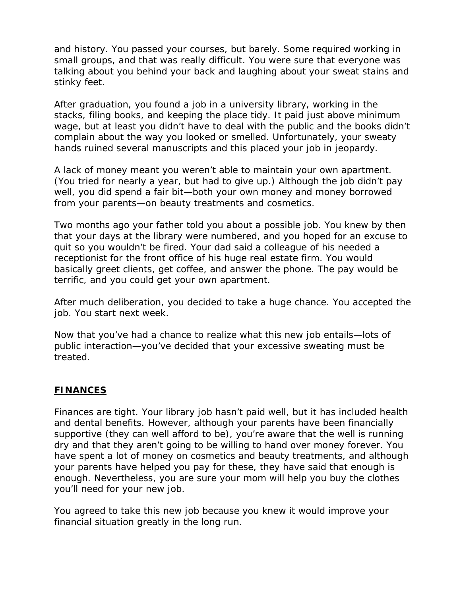and history. You passed your courses, but barely. Some required working in small groups, and that was really difficult. You were sure that everyone was talking about you behind your back and laughing about your sweat stains and stinky feet.

After graduation, you found a job in a university library, working in the stacks, filing books, and keeping the place tidy. It paid just above minimum wage, but at least you didn't have to deal with the public and the books didn't complain about the way you looked or smelled. Unfortunately, your sweaty hands ruined several manuscripts and this placed your job in jeopardy.

A lack of money meant you weren't able to maintain your own apartment. (You tried for nearly a year, but had to give up.) Although the job didn't pay well, you did spend a fair bit—both your own money and money borrowed from your parents—on beauty treatments and cosmetics.

Two months ago your father told you about a possible job. You knew by then that your days at the library were numbered, and you hoped for an excuse to quit so you wouldn't be fired. Your dad said a colleague of his needed a receptionist for the front office of his huge real estate firm. You would basically greet clients, get coffee, and answer the phone. The pay would be terrific, and you could get your own apartment.

After much deliberation, you decided to take a huge chance. You accepted the job. You start next week.

Now that you've had a chance to realize what this new job entails—lots of public interaction—you've decided that your excessive sweating must be treated.

## **FINANCES**

Finances are tight. Your library job hasn't paid well, but it has included health and dental benefits. However, although your parents have been financially supportive (they can well afford to be), you're aware that the well is running dry and that they aren't going to be willing to hand over money forever. You have spent a lot of money on cosmetics and beauty treatments, and although your parents have helped you pay for these, they have said that enough is enough. Nevertheless, you are sure your mom will help you buy the clothes you'll need for your new job.

You agreed to take this new job because you knew it would improve your financial situation greatly in the long run.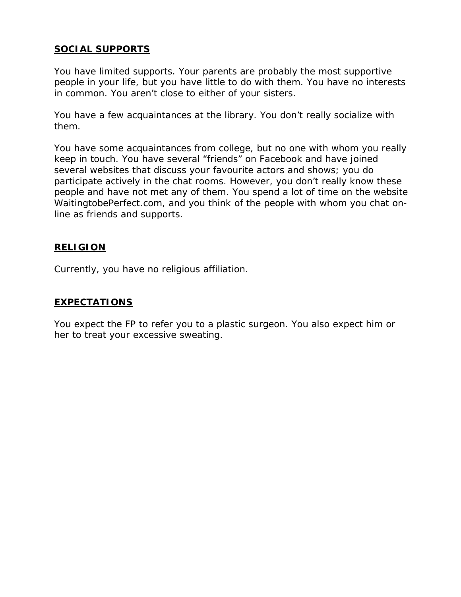## **SOCIAL SUPPORTS**

You have limited supports. Your parents are probably the most supportive people in your life, but you have little to do with them. You have no interests in common. You aren't close to either of your sisters.

You have a few acquaintances at the library. You don't really socialize with them.

You have some acquaintances from college, but no one with whom you really keep in touch. You have several "friends" on Facebook and have joined several websites that discuss your favourite actors and shows; you do participate actively in the chat rooms. However, you don't really know these people and have not met any of them. You spend a lot of time on the website WaitingtobePerfect.com, and you think of the people with whom you chat online as friends and supports.

## **RELIGION**

Currently, you have no religious affiliation.

## **EXPECTATIONS**

You expect the FP to refer you to a plastic surgeon. You also expect him or her to treat your excessive sweating.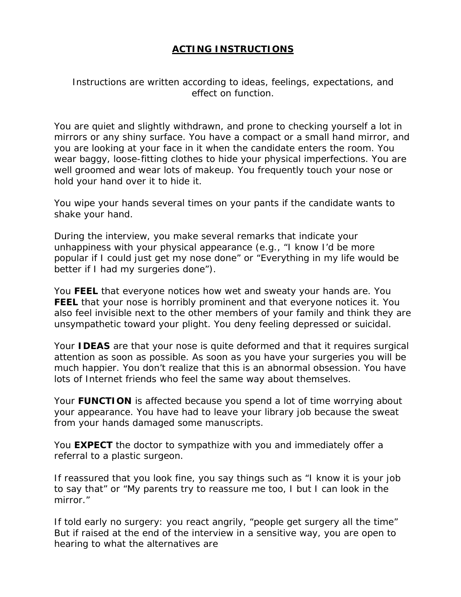## **ACTING INSTRUCTIONS**

*Instructions are written according to ideas, feelings, expectations, and effect on function.*

You are quiet and slightly withdrawn, and prone to checking yourself a lot in mirrors or any shiny surface. You have a compact or a small hand mirror, and you are looking at your face in it when the candidate enters the room. You wear baggy, loose-fitting clothes to hide your physical imperfections. You are well groomed and wear lots of makeup. You frequently touch your nose or hold your hand over it to hide it.

You wipe your hands several times on your pants if the candidate wants to shake your hand.

During the interview, you make several remarks that indicate your unhappiness with your physical appearance (e.g., "I know I'd be more popular if I could just get my nose done" or "Everything in my life would be better if I had my surgeries done").

You **FEEL** that everyone notices how wet and sweaty your hands are. You **FEEL** that your nose is horribly prominent and that everyone notices it. You also feel invisible next to the other members of your family and think they are unsympathetic toward your plight. You deny feeling depressed or suicidal.

Your **IDEAS** are that your nose is quite deformed and that it requires surgical attention as soon as possible. As soon as you have your surgeries you will be much happier. You don't realize that this is an abnormal obsession. You have lots of Internet friends who feel the same way about themselves.

Your **FUNCTION** is affected because you spend a lot of time worrying about your appearance. You have had to leave your library job because the sweat from your hands damaged some manuscripts.

You **EXPECT** the doctor to sympathize with you and immediately offer a referral to a plastic surgeon.

If reassured that you look fine, you say things such as "I know it is your job to say that" or "My parents try to reassure me too, I but I can look in the mirror."

If told early no surgery: you react angrily, "people get surgery all the time" But if raised at the end of the interview in a sensitive way, you are open to hearing to what the alternatives are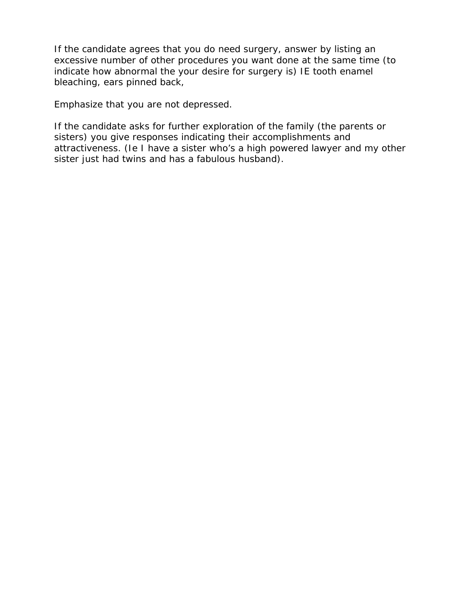If the candidate agrees that you do need surgery, answer by listing an excessive number of other procedures you want done at the same time (to indicate how abnormal the your desire for surgery is) IE tooth enamel bleaching, ears pinned back,

Emphasize that you are not depressed.

If the candidate asks for further exploration of the family (the parents or sisters) you give responses indicating their accomplishments and attractiveness. (Ie I have a sister who's a high powered lawyer and my other sister just had twins and has a fabulous husband).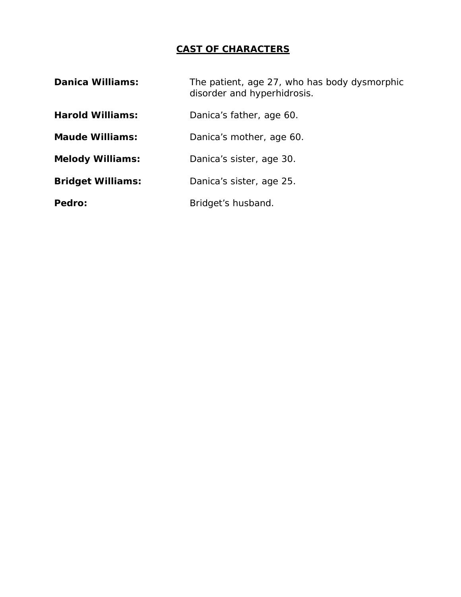## **CAST OF CHARACTERS**

| <b>Danica Williams:</b>  | The patient, age 27, who has body dysmorphic<br>disorder and hyperhidrosis. |
|--------------------------|-----------------------------------------------------------------------------|
| <b>Harold Williams:</b>  | Danica's father, age 60.                                                    |
| <b>Maude Williams:</b>   | Danica's mother, age 60.                                                    |
| <b>Melody Williams:</b>  | Danica's sister, age 30.                                                    |
| <b>Bridget Williams:</b> | Danica's sister, age 25.                                                    |
| Pedro:                   | Bridget's husband.                                                          |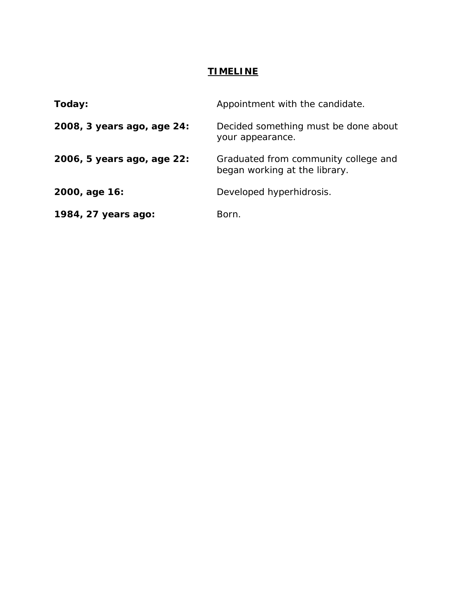## **TIMELINE**

| Today:                     | Appointment with the candidate.                                       |
|----------------------------|-----------------------------------------------------------------------|
| 2008, 3 years ago, age 24: | Decided something must be done about<br>your appearance.              |
| 2006, 5 years ago, age 22: | Graduated from community college and<br>began working at the library. |
| 2000, age 16:              | Developed hyperhidrosis.                                              |
| 1984, 27 years ago:        | Born.                                                                 |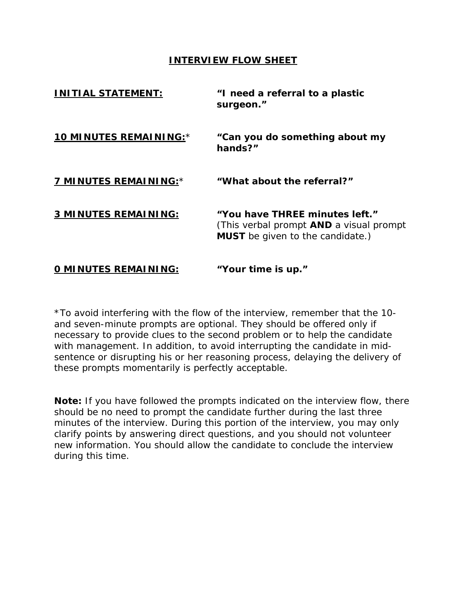#### **INTERVIEW FLOW SHEET**

| <u>INITIAL STATEMENT:</u>   | "I need a referral to a plastic<br>surgeon."                                                                                |
|-----------------------------|-----------------------------------------------------------------------------------------------------------------------------|
| 10 MINUTES REMAINING:*      | "Can you do something about my<br>hands?"                                                                                   |
| 7 MINUTES REMAINING:*       | "What about the referral?"                                                                                                  |
| 3 MINUTES REMAINING:        | "You have THREE minutes left."<br>(This verbal prompt <b>AND</b> a visual prompt<br><b>MUST</b> be given to the candidate.) |
| <b>O MINUTES REMAINING:</b> | "Your time is up."                                                                                                          |

\*To avoid interfering with the flow of the interview, remember that the 10 and seven-minute prompts are optional. They should be offered only if necessary to provide clues to the second problem or to help the candidate with management. In addition, to avoid interrupting the candidate in midsentence or disrupting his or her reasoning process, delaying the delivery of these prompts momentarily is perfectly acceptable.

**Note:** If you have followed the prompts indicated on the interview flow, there should be no need to prompt the candidate further during the last three minutes of the interview. During this portion of the interview, you may only clarify points by answering direct questions, and you should not volunteer new information. You should allow the candidate to conclude the interview during this time.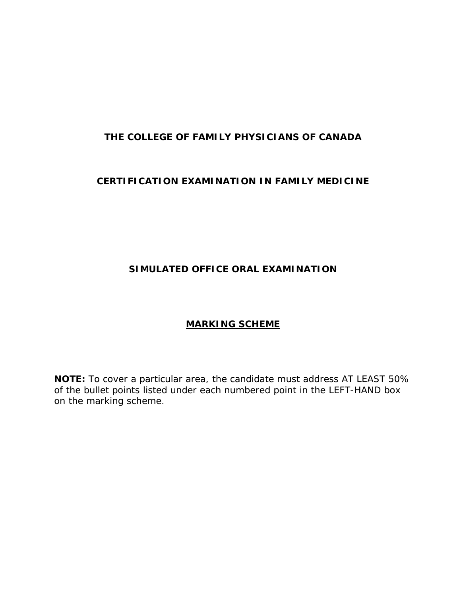## **THE COLLEGE OF FAMILY PHYSICIANS OF CANADA**

## **CERTIFICATION EXAMINATION IN FAMILY MEDICINE**

## **SIMULATED OFFICE ORAL EXAMINATION**

## **MARKING SCHEME**

**NOTE:** To cover a particular area, the candidate must address AT LEAST 50% of the bullet points listed under each numbered point in the LEFT-HAND box on the marking scheme.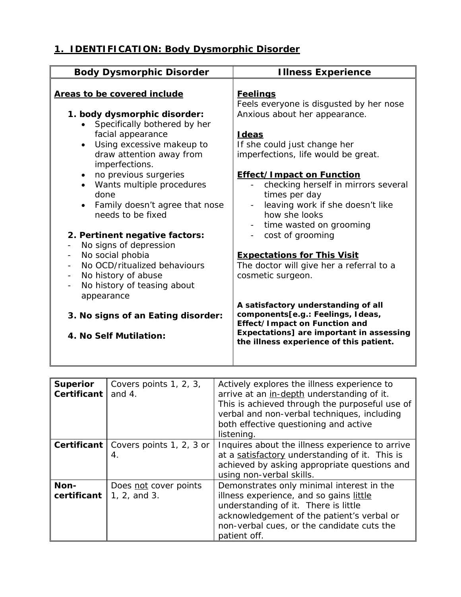# **1. IDENTIFICATION: Body Dysmorphic Disorder**

| <b>Body Dysmorphic Disorder</b>                                                                                                                                                                                                   | <b>Illness Experience</b>                                                                                                                                                                        |
|-----------------------------------------------------------------------------------------------------------------------------------------------------------------------------------------------------------------------------------|--------------------------------------------------------------------------------------------------------------------------------------------------------------------------------------------------|
| Areas to be covered include                                                                                                                                                                                                       | <b>Feelings</b><br>Feels everyone is disgusted by her nose                                                                                                                                       |
| 1. body dysmorphic disorder:<br>Specifically bothered by her<br>facial appearance<br>Using excessive makeup to<br>draw attention away from<br>imperfections.<br>no previous surgeries<br>$\bullet$<br>• Wants multiple procedures | Anxious about her appearance.<br>Ideas<br>If she could just change her<br>imperfections, life would be great.<br><b>Effect/Impact on Function</b><br>checking herself in mirrors several         |
| done<br>Family doesn't agree that nose<br>needs to be fixed                                                                                                                                                                       | times per day<br>leaving work if she doesn't like<br>how she looks<br>time wasted on grooming<br>$\sim$                                                                                          |
| 2. Pertinent negative factors:<br>No signs of depression<br>No social phobia                                                                                                                                                      | cost of grooming                                                                                                                                                                                 |
| No OCD/ritualized behaviours<br>No history of abuse<br>No history of teasing about<br>appearance                                                                                                                                  | <b>Expectations for This Visit</b><br>The doctor will give her a referral to a<br>cosmetic surgeon.                                                                                              |
| 3. No signs of an Eating disorder:<br>4. No Self Mutilation:                                                                                                                                                                      | A satisfactory understanding of all<br>components[e.g.: Feelings, Ideas,<br>Effect/Impact on Function and<br>Expectations] are important in assessing<br>the illness experience of this patient. |

| <b>Superior</b> | Covers points 1, 2, 3,                        | Actively explores the illness experience to     |
|-----------------|-----------------------------------------------|-------------------------------------------------|
| Certificant     | and $4.$                                      | arrive at an in-depth understanding of it.      |
|                 |                                               | This is achieved through the purposeful use of  |
|                 |                                               | verbal and non-verbal techniques, including     |
|                 |                                               | both effective questioning and active           |
|                 |                                               | listening.                                      |
|                 | <b>Certificant</b>   Covers points 1, 2, 3 or | Inquires about the illness experience to arrive |
|                 | 4.                                            | at a satisfactory understanding of it. This is  |
|                 |                                               | achieved by asking appropriate questions and    |
|                 |                                               | using non-verbal skills.                        |
| Non-            | Does not cover points                         | Demonstrates only minimal interest in the       |
| certificant     | 1, 2, and 3.                                  | illness experience, and so gains little         |
|                 |                                               | understanding of it. There is little            |
|                 |                                               | acknowledgement of the patient's verbal or      |
|                 |                                               | non-verbal cues, or the candidate cuts the      |
|                 |                                               | patient off.                                    |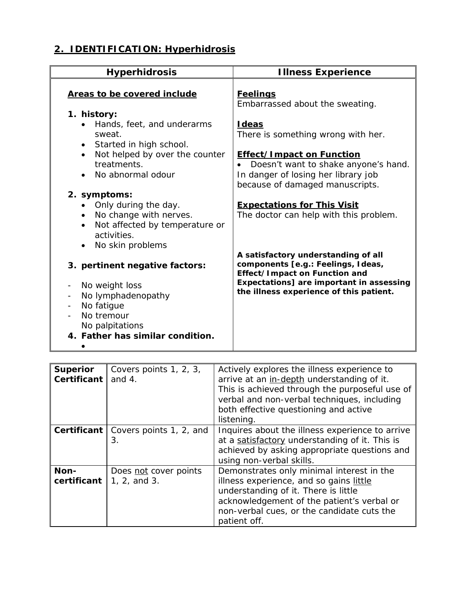# **2. IDENTIFICATION: Hyperhidrosis**

| <b>Hyperhidrosis</b>                                                                                                                                                                  | <b>Illness Experience</b>                                                                                                                                                                         |
|---------------------------------------------------------------------------------------------------------------------------------------------------------------------------------------|---------------------------------------------------------------------------------------------------------------------------------------------------------------------------------------------------|
| Areas to be covered include<br>1. history:<br>Hands, feet, and underarms<br>sweat.<br>• Started in high school.                                                                       | <b>Feelings</b><br>Embarrassed about the sweating.<br><b>I</b> deas<br>There is something wrong with her.                                                                                         |
| Not helped by over the counter<br>$\bullet$<br>treatments.<br>No abnormal odour                                                                                                       | <b>Effect/Impact on Function</b><br>Doesn't want to shake anyone's hand.<br>In danger of losing her library job<br>because of damaged manuscripts.                                                |
| 2. symptoms:<br>Only during the day.<br>No change with nerves.<br>$\bullet$<br>Not affected by temperature or<br>$\bullet$<br>activities.<br>No skin problems<br>$\bullet$            | <b>Expectations for This Visit</b><br>The doctor can help with this problem.                                                                                                                      |
| 3. pertinent negative factors:<br>No weight loss<br>No lymphadenopathy<br>$\overline{\phantom{a}}$<br>No fatigue<br>No tremour<br>No palpitations<br>4. Father has similar condition. | A satisfactory understanding of all<br>components [e.g.: Feelings, Ideas,<br>Effect/Impact on Function and<br>Expectations] are important in assessing<br>the illness experience of this patient. |

| <b>Superior</b><br>Certificant | Covers points 1, 2, 3,<br>and $4.$                 | Actively explores the illness experience to<br>arrive at an in-depth understanding of it.<br>This is achieved through the purposeful use of<br>verbal and non-verbal techniques, including<br>both effective questioning and active<br>listening. |
|--------------------------------|----------------------------------------------------|---------------------------------------------------------------------------------------------------------------------------------------------------------------------------------------------------------------------------------------------------|
|                                | <b>Certificant</b>   Covers points 1, 2, and<br>З. | Inquires about the illness experience to arrive<br>at a satisfactory understanding of it. This is<br>achieved by asking appropriate questions and<br>using non-verbal skills.                                                                     |
| Non-<br>certificant            | Does not cover points<br>1, 2, and 3.              | Demonstrates only minimal interest in the<br>illness experience, and so gains little<br>understanding of it. There is little<br>acknowledgement of the patient's verbal or<br>non-verbal cues, or the candidate cuts the<br>patient off.          |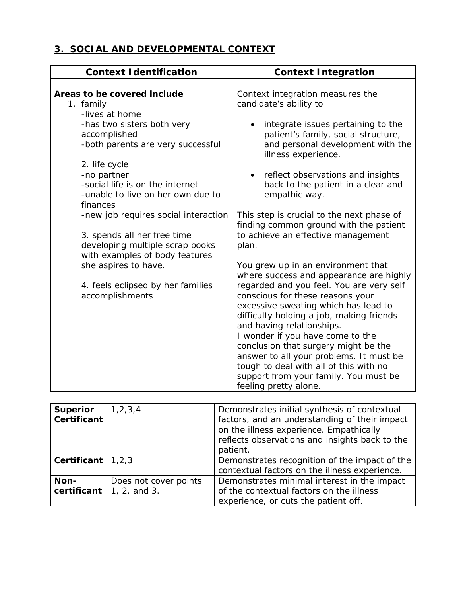## **3. SOCIAL AND DEVELOPMENTAL CONTEXT**

| <b>Context Identification</b>                                     | <b>Context Integration</b>                                                          |
|-------------------------------------------------------------------|-------------------------------------------------------------------------------------|
|                                                                   |                                                                                     |
| Areas to be covered include                                       | Context integration measures the                                                    |
| 1. family                                                         | candidate's ability to                                                              |
| -lives at home                                                    |                                                                                     |
| -has two sisters both very                                        | integrate issues pertaining to the                                                  |
| accomplished                                                      | patient's family, social structure,                                                 |
| -both parents are very successful                                 | and personal development with the<br>illness experience.                            |
| 2. life cycle                                                     |                                                                                     |
| -no partner                                                       | reflect observations and insights<br>$\bullet$                                      |
| -social life is on the internet                                   | back to the patient in a clear and                                                  |
| -unable to live on her own due to<br>finances                     | empathic way.                                                                       |
| -new job requires social interaction                              | This step is crucial to the next phase of<br>finding common ground with the patient |
| 3. spends all her free time                                       | to achieve an effective management                                                  |
| developing multiple scrap books<br>with examples of body features | plan.                                                                               |
| she aspires to have.                                              | You grew up in an environment that                                                  |
|                                                                   | where success and appearance are highly                                             |
| 4. feels eclipsed by her families                                 | regarded and you feel. You are very self                                            |
| accomplishments                                                   | conscious for these reasons your                                                    |
|                                                                   | excessive sweating which has lead to                                                |
|                                                                   | difficulty holding a job, making friends                                            |
|                                                                   | and having relationships.                                                           |
|                                                                   | I wonder if you have come to the                                                    |
|                                                                   | conclusion that surgery might be the                                                |
|                                                                   | answer to all your problems. It must be                                             |
|                                                                   | tough to deal with all of this with no                                              |
|                                                                   | support from your family. You must be                                               |
|                                                                   | feeling pretty alone.                                                               |

| <b>Superior</b><br>Certificant          | 1, 2, 3, 4                            | Demonstrates initial synthesis of contextual<br>factors, and an understanding of their impact<br>on the illness experience. Empathically<br>reflects observations and insights back to the<br>patient. |
|-----------------------------------------|---------------------------------------|--------------------------------------------------------------------------------------------------------------------------------------------------------------------------------------------------------|
| $\vert$ Certificant $\vert \vert$ 1,2,3 |                                       | Demonstrates recognition of the impact of the<br>contextual factors on the illness experience.                                                                                                         |
| Non-<br>certificant                     | Does not cover points<br>1, 2, and 3. | Demonstrates minimal interest in the impact<br>of the contextual factors on the illness<br>experience, or cuts the patient off.                                                                        |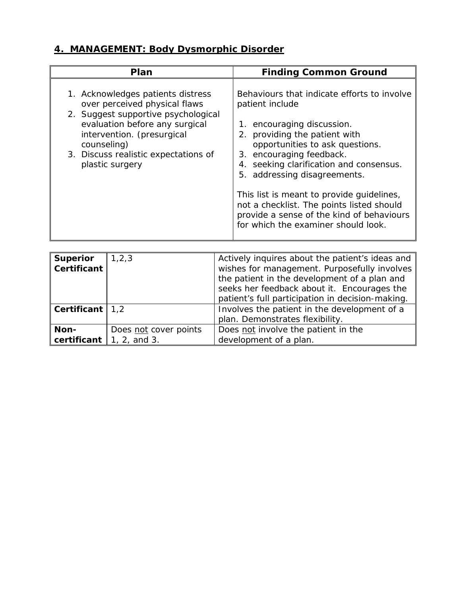# **4. MANAGEMENT: Body Dysmorphic Disorder**

|                                                                                                                                                                                                                                                     | <b>Finding Common Ground</b>                                                                                                                                                                                                                                                                                                                                                                                                                             |
|-----------------------------------------------------------------------------------------------------------------------------------------------------------------------------------------------------------------------------------------------------|----------------------------------------------------------------------------------------------------------------------------------------------------------------------------------------------------------------------------------------------------------------------------------------------------------------------------------------------------------------------------------------------------------------------------------------------------------|
| 1. Acknowledges patients distress<br>over perceived physical flaws<br>2. Suggest supportive psychological<br>evaluation before any surgical<br>intervention. (presurgical<br>counseling)<br>3. Discuss realistic expectations of<br>plastic surgery | Behaviours that indicate efforts to involve<br>patient include<br>encouraging discussion.<br>1.<br>2. providing the patient with<br>opportunities to ask questions.<br>3. encouraging feedback.<br>4. seeking clarification and consensus.<br>5. addressing disagreements.<br>This list is meant to provide guidelines,<br>not a checklist. The points listed should<br>provide a sense of the kind of behaviours<br>for which the examiner should look. |

| <b>Superior</b><br>$\sf{I}$ Certificant                                                     | 1, 2, 3               | Actively inquires about the patient's ideas and<br>wishes for management. Purposefully involves<br>the patient in the development of a plan and<br>seeks her feedback about it. Encourages the<br>patient's full participation in decision-making. |
|---------------------------------------------------------------------------------------------|-----------------------|----------------------------------------------------------------------------------------------------------------------------------------------------------------------------------------------------------------------------------------------------|
| $\vert\hspace{-1.5mm}\vert$ Certificant $\vert\hspace{-1.5mm}\vert\hspace{-1.5mm}\vert$ 1,2 |                       | Involves the patient in the development of a                                                                                                                                                                                                       |
|                                                                                             |                       | plan. Demonstrates flexibility.                                                                                                                                                                                                                    |
| ∥ Non-                                                                                      | Does not cover points | Does not involve the patient in the                                                                                                                                                                                                                |
| certificant $\vert$ 1, 2, and 3.                                                            |                       | development of a plan.                                                                                                                                                                                                                             |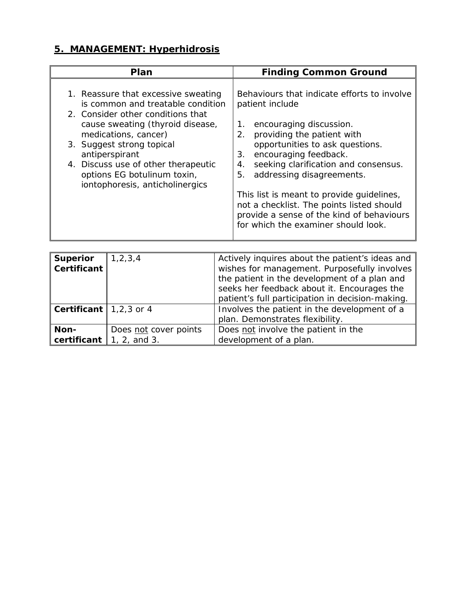# **5. MANAGEMENT: Hyperhidrosis**

| Plan                                                                                                                                                                                                                                                                                                                              | <b>Finding Common Ground</b>                                                                                                                                                                                                                                                                                                                                                                                                                                         |
|-----------------------------------------------------------------------------------------------------------------------------------------------------------------------------------------------------------------------------------------------------------------------------------------------------------------------------------|----------------------------------------------------------------------------------------------------------------------------------------------------------------------------------------------------------------------------------------------------------------------------------------------------------------------------------------------------------------------------------------------------------------------------------------------------------------------|
| 1. Reassure that excessive sweating<br>is common and treatable condition<br>2. Consider other conditions that<br>cause sweating (thyroid disease,<br>medications, cancer)<br>3. Suggest strong topical<br>antiperspirant<br>4. Discuss use of other therapeutic<br>options EG botulinum toxin,<br>iontophoresis, anticholinergics | Behaviours that indicate efforts to involve<br>patient include<br>encouraging discussion.<br>1.<br>providing the patient with<br>2.<br>opportunities to ask questions.<br>encouraging feedback.<br>3.<br>seeking clarification and consensus.<br>4.<br>addressing disagreements.<br>5.<br>This list is meant to provide guidelines,<br>not a checklist. The points listed should<br>provide a sense of the kind of behaviours<br>for which the examiner should look. |
|                                                                                                                                                                                                                                                                                                                                   |                                                                                                                                                                                                                                                                                                                                                                                                                                                                      |

| Superior<br>$\ $ Certificant $\ $             | 1, 2, 3, 4            | Actively inquires about the patient's ideas and<br>wishes for management. Purposefully involves<br>the patient in the development of a plan and<br>seeks her feedback about it. Encourages the<br>patient's full participation in decision-making. |
|-----------------------------------------------|-----------------------|----------------------------------------------------------------------------------------------------------------------------------------------------------------------------------------------------------------------------------------------------|
| Certificant $\vert 1,2,3 \text{ or } 4 \vert$ |                       | Involves the patient in the development of a<br>plan. Demonstrates flexibility.                                                                                                                                                                    |
| ∥ Non-<br>certificant $\vert$ 1, 2, and 3.    | Does not cover points | Does not involve the patient in the<br>development of a plan.                                                                                                                                                                                      |